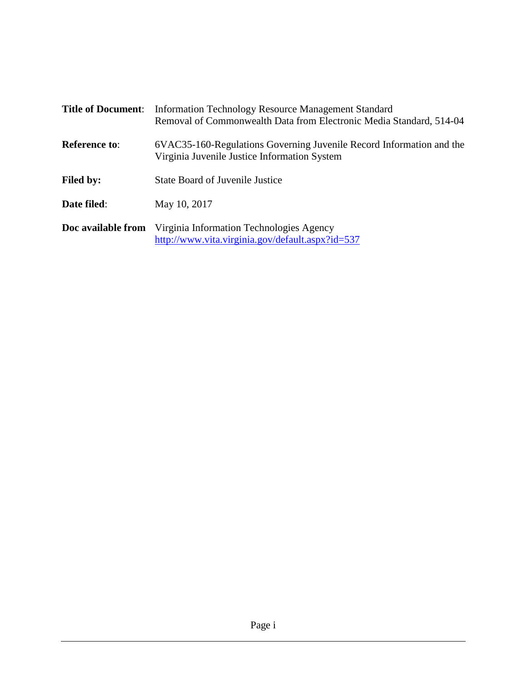| <b>Title of Document:</b> | Information Technology Resource Management Standard<br>Removal of Commonwealth Data from Electronic Media Standard, 514-04 |
|---------------------------|----------------------------------------------------------------------------------------------------------------------------|
| <b>Reference to:</b>      | 6VAC35-160-Regulations Governing Juvenile Record Information and the<br>Virginia Juvenile Justice Information System       |
| <b>Filed by:</b>          | <b>State Board of Juvenile Justice</b>                                                                                     |
| Date filed:               | May 10, 2017                                                                                                               |
| Doc available from        | Virginia Information Technologies Agency<br>http://www.vita.virginia.gov/default.aspx?id=537                               |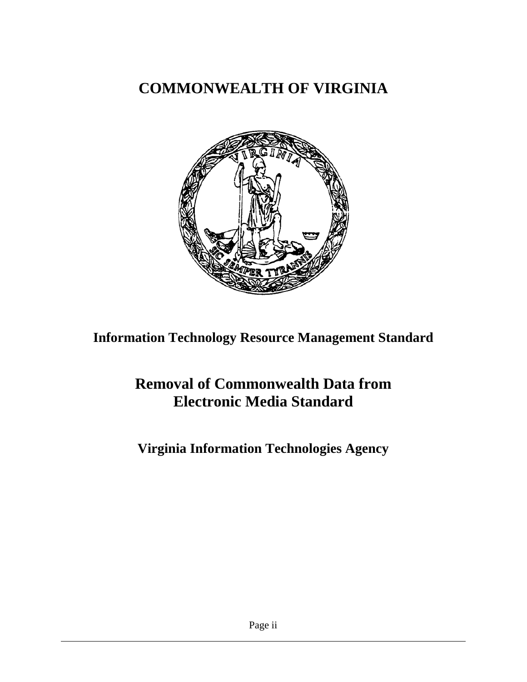# **COMMONWEALTH OF VIRGINIA**



**Information Technology Resource Management Standard**

# **Removal of Commonwealth Data from Electronic Media Standard**

**Virginia Information Technologies Agency**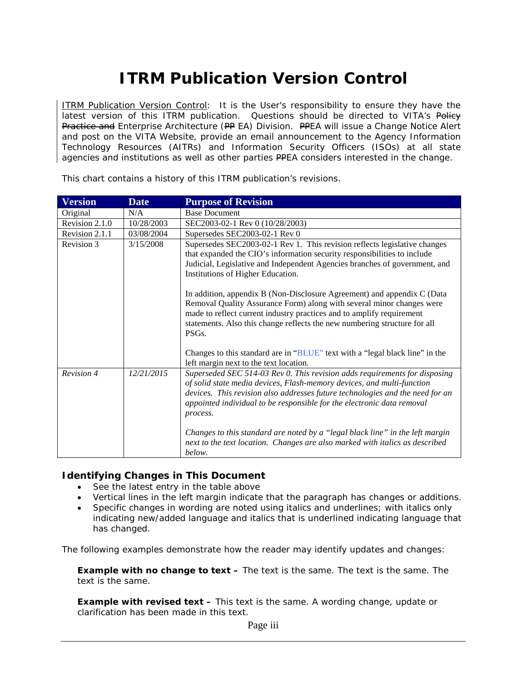# **ITRM Publication Version Control**

ITRM Publication Version Control: It is the User's responsibility to ensure they have the latest version of this ITRM publication. Questions should be directed to VITA's Policy Practice and *Enterprise* Architecture (PP EA) Division. PPEA will issue a Change Notice Alert and post on the VITA Website, provide an email announcement to the Agency Information Technology Resources (AITRs) and Information Security Officers (ISOs) at all state agencies and institutions as well as other parties PPEA considers interested in the change.

| <b>Version</b> | <b>Date</b> | <b>Purpose of Revision</b>                                                                                                                                                                                                                                                                                                                                                                                                                                                                            |
|----------------|-------------|-------------------------------------------------------------------------------------------------------------------------------------------------------------------------------------------------------------------------------------------------------------------------------------------------------------------------------------------------------------------------------------------------------------------------------------------------------------------------------------------------------|
| Original       | N/A         | <b>Base Document</b>                                                                                                                                                                                                                                                                                                                                                                                                                                                                                  |
| Revision 2.1.0 | 10/28/2003  | SEC2003-02-1 Rev 0 (10/28/2003)                                                                                                                                                                                                                                                                                                                                                                                                                                                                       |
| Revision 2.1.1 | 03/08/2004  | Supersedes SEC2003-02-1 Rev 0                                                                                                                                                                                                                                                                                                                                                                                                                                                                         |
| Revision 3     | 3/15/2008   | Supersedes SEC2003-02-1 Rev 1. This revision reflects legislative changes<br>that expanded the CIO's information security responsibilities to include<br>Judicial, Legislative and Independent Agencies branches of government, and<br>Institutions of Higher Education.<br>In addition, appendix B (Non-Disclosure Agreement) and appendix C (Data<br>Removal Quality Assurance Form) along with several minor changes were<br>made to reflect current industry practices and to amplify requirement |
|                |             | statements. Also this change reflects the new numbering structure for all<br>PSG <sub>s</sub> .<br>Changes to this standard are in "BLUE" text with a "legal black line" in the<br>left margin next to the text location.                                                                                                                                                                                                                                                                             |
| Revision 4     | 12/21/2015  | Superseded SEC 514-03 Rev 0. This revision adds requirements for disposing<br>of solid state media devices, Flash-memory devices, and multi-function<br>devices. This revision also addresses future technologies and the need for an<br>appointed individual to be responsible for the electronic data removal<br>process.                                                                                                                                                                           |
|                |             | Changes to this standard are noted by a "legal black line" in the left margin<br>next to the text location. Changes are also marked with italics as described<br>below.                                                                                                                                                                                                                                                                                                                               |

This chart contains a history of this ITRM publication's revisions.

#### **Identifying Changes in This Document**

- See the latest entry in the table above
- Vertical lines in the left margin indicate that the paragraph has changes or additions.
- Specific changes in wording are noted using italics and underlines; with italics only indicating new/added language and italics that is underlined indicating language that has changed.

The following examples demonstrate how the reader may identify updates and changes:

**Example with no change to text –** The text is the same. The text is the same. The text is the same.

**Example with revised text –** This text is the same. *A wording change, update or clarification has been made in this text.*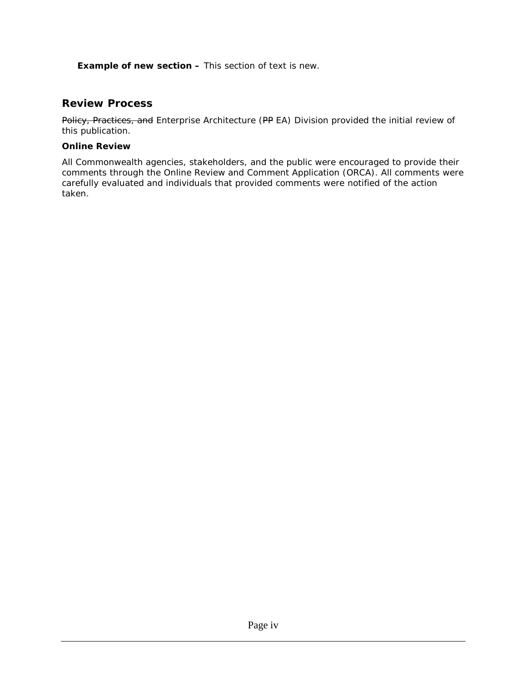*Example of new section – This section of text is new.* 

### **Review Process**

Policy, Practices, and *Enterprise* Architecture (PP EA) Division provided the initial review of this publication.

#### **Online Review**

All Commonwealth agencies, stakeholders, and the public were encouraged to provide their comments through the Online Review and Comment Application (ORCA). All comments were carefully evaluated and individuals that provided comments were notified of the action taken.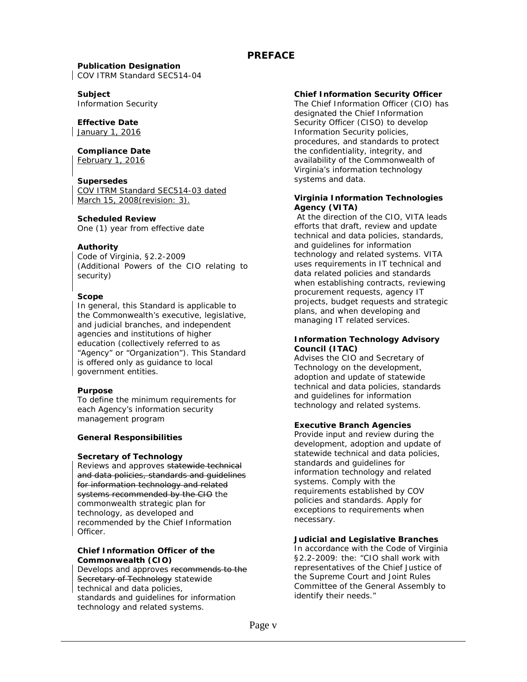#### **PREFACE**

# **Publication Designation**

*COV ITRM Standard SEC514-04*

#### **Subject**

Information Security

#### **Effective Date**

*January 1, 2016*

#### **Compliance Date**

*February 1, 2016*

#### **Supersedes**

*COV ITRM Standard SEC514-03 dated March 15, 2008(revision: 3).*

#### **Scheduled Review**

One (1) year from effective date

#### **Authority**

Code of Virginia, §2.2-2009 (Additional Powers of the CIO relating to security)

#### **Scope**

In general, this *Standard* is applicable to the Commonwealth's executive, legislative, and judicial branches, and independent agencies and institutions of higher education (collectively referred to as "Agency" or "Organization"). This *Standard* is offered only as guidance to local government entities.

#### **Purpose**

To define the minimum requirements for each Agency's information security management program

#### **General Responsibilities**

#### **Secretary of Technology**

Reviews and approves statewide technical and data policies, standards and quidelines for information technology and related systems recommended by the CIO the *commonwealth strategic plan for technology, as developed and recommended by the Chief Information Officer.*

#### **Chief Information Officer of the Commonwealth (CIO)**

Develops and approves recommends to the Secretary of Technology statewide technical and data policies, standards and guidelines for information technology and related systems.

#### **Chief Information Security Officer**

The Chief Information Officer (CIO) has designated the Chief Information Security Officer (CISO) to develop Information Security policies, procedures, and standards to protect the confidentiality, integrity, and availability of the Commonwealth of Virginia's information technology systems and data.

#### **Virginia Information Technologies Agency (VITA)**

At the direction of the CIO, VITA leads efforts that draft, review and update technical and data policies, standards, and guidelines for information technology and related systems. VITA uses requirements in IT technical and data related policies and standards when establishing contracts, reviewing procurement requests, agency IT projects, budget requests and strategic plans, and when developing and managing IT related services.

#### **Information Technology Advisory Council (ITAC)**

Advises the CIO and Secretary of Technology on the development, adoption and update of statewide technical and data policies, standards and guidelines for information technology and related systems.

#### **Executive Branch Agencies**

Provide input and review during the development, adoption and update of statewide technical and data policies, standards and guidelines for information technology and related systems. Comply with the requirements established by COV policies and standards. Apply for exceptions to requirements when necessary.

#### **Judicial and Legislative Branches**

In accordance with the Code of Virginia §2.2-2009: the: *"CIO shall work with representatives of the Chief Justice of the Supreme Court and Joint Rules Committee of the General Assembly to identify their needs."*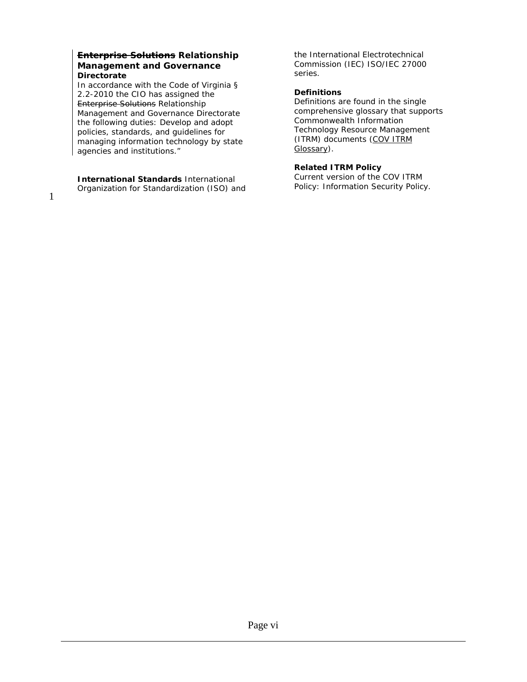#### **Enterprise Solutions** *Relationship Management* **and Governance Directorate**

In accordance with the Code of Virginia § 2.2-2010 the CIO has assigned the Enterprise Solutions *Relationship Management* and Governance Directorate the following duties: *Develop and adopt policies, standards, and guidelines for managing information technology by state agencies and institutions*."

**International Standards** International Organization for Standardization (ISO) and the International Electrotechnical Commission (IEC) ISO/IEC 27000 series.

#### **Definitions**

Definitions are found in the single comprehensive glossary that supports Commonwealth Information Technology Resource Management (ITRM) documents (COV [ITRM](http://www.vita.virginia.gov/uploadedFiles/Library/PSGs/EA_PSG_update_011510/ITRMGlossary_011510.pdf)  [Glossary\)](http://www.vita.virginia.gov/uploadedFiles/Library/PSGs/EA_PSG_update_011510/ITRMGlossary_011510.pdf).

#### **Related ITRM Policy**

Current version of the COV ITRM Policy: Information Security Policy.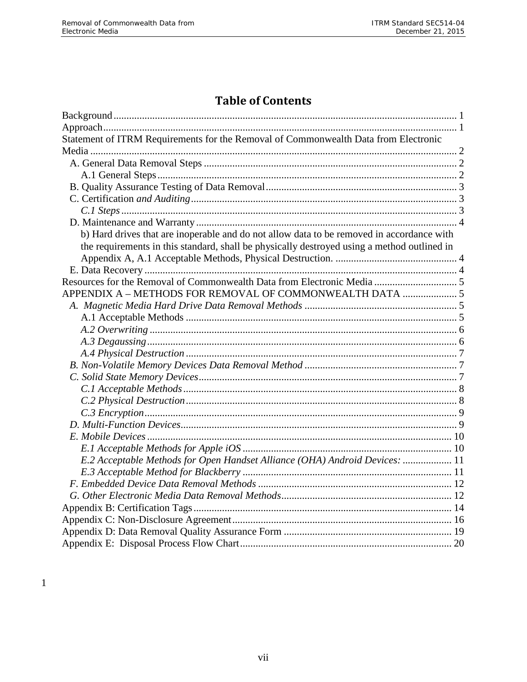# **Table of Contents**

| Statement of ITRM Requirements for the Removal of Commonwealth Data from Electronic         |  |  |
|---------------------------------------------------------------------------------------------|--|--|
|                                                                                             |  |  |
|                                                                                             |  |  |
|                                                                                             |  |  |
|                                                                                             |  |  |
|                                                                                             |  |  |
|                                                                                             |  |  |
|                                                                                             |  |  |
| b) Hard drives that are inoperable and do not allow data to be removed in accordance with   |  |  |
| the requirements in this standard, shall be physically destroyed using a method outlined in |  |  |
|                                                                                             |  |  |
|                                                                                             |  |  |
|                                                                                             |  |  |
| APPENDIX A - METHODS FOR REMOVAL OF COMMONWEALTH DATA  5                                    |  |  |
|                                                                                             |  |  |
|                                                                                             |  |  |
|                                                                                             |  |  |
|                                                                                             |  |  |
|                                                                                             |  |  |
|                                                                                             |  |  |
|                                                                                             |  |  |
|                                                                                             |  |  |
|                                                                                             |  |  |
|                                                                                             |  |  |
|                                                                                             |  |  |
|                                                                                             |  |  |
|                                                                                             |  |  |
| E.2 Acceptable Methods for Open Handset Alliance (OHA) Android Devices:  11                 |  |  |
|                                                                                             |  |  |
|                                                                                             |  |  |
|                                                                                             |  |  |
|                                                                                             |  |  |
|                                                                                             |  |  |
|                                                                                             |  |  |
|                                                                                             |  |  |

 $1\,$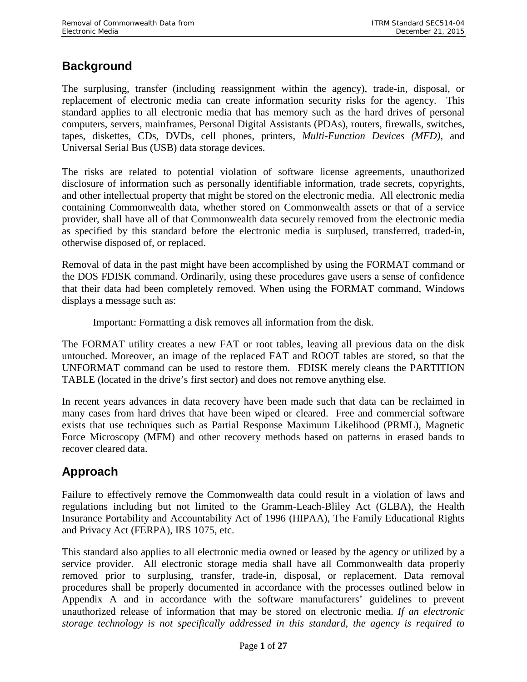# <span id="page-7-0"></span>**Background**

The surplusing, transfer (including reassignment within the agency), trade-in, disposal, or replacement of electronic media can create information security risks for the agency. This standard applies to all electronic media that has memory such as the hard drives of personal computers, servers, mainframes, Personal Digital Assistants (PDAs), routers, firewalls, switches, tapes, diskettes, CDs, DVDs, cell phones, printers, *Multi-Function Devices (MFD),* and Universal Serial Bus (USB) data storage devices.

The risks are related to potential violation of software license agreements, unauthorized disclosure of information such as personally identifiable information, trade secrets, copyrights, and other intellectual property that might be stored on the electronic media. All electronic media containing Commonwealth data, whether stored on Commonwealth assets or that of a service provider, shall have all of that Commonwealth data securely removed from the electronic media as specified by this standard before the electronic media is surplused, transferred, traded-in, otherwise disposed of, or replaced.

Removal of data in the past might have been accomplished by using the FORMAT command or the DOS FDISK command. Ordinarily, using these procedures gave users a sense of confidence that their data had been completely removed. When using the FORMAT command, Windows displays a message such as:

Important: Formatting a disk removes all information from the disk.

The FORMAT utility creates a new FAT or root tables, leaving all previous data on the disk untouched. Moreover, an image of the replaced FAT and ROOT tables are stored, so that the UNFORMAT command can be used to restore them. FDISK merely cleans the PARTITION TABLE (located in the drive's first sector) and does not remove anything else.

In recent years advances in data recovery have been made such that data can be reclaimed in many cases from hard drives that have been wiped or cleared. Free and commercial software exists that use techniques such as Partial Response Maximum Likelihood (PRML), Magnetic Force Microscopy (MFM) and other recovery methods based on patterns in erased bands to recover cleared data.

# <span id="page-7-1"></span>**Approach**

Failure to effectively remove the Commonwealth data could result in a violation of laws and regulations including but not limited to the Gramm-Leach-Bliley Act (GLBA), the Health Insurance Portability and Accountability Act of 1996 (HIPAA), The Family Educational Rights and Privacy Act (FERPA), IRS 1075, etc.

This standard also applies to all electronic media owned or leased by the agency or utilized by a service provider. All electronic storage media shall have all Commonwealth data properly removed prior to surplusing, transfer, trade-in, disposal, or replacement. Data removal procedures shall be properly documented in accordance with the processes outlined below in Appendix A and in accordance with the software manufacturers' guidelines to prevent unauthorized release of information that may be stored on electronic media. *If an electronic storage technology is not specifically addressed in this standard, the agency is required to*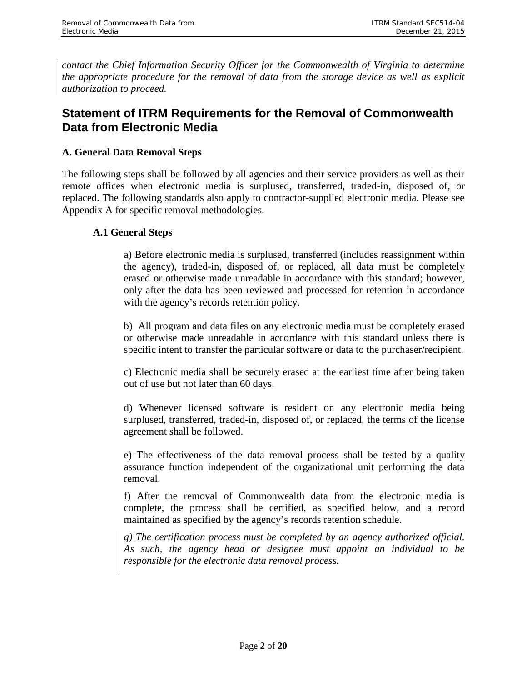*contact the Chief Information Security Officer for the Commonwealth of Virginia to determine the appropriate procedure for the removal of data from the storage device as well as explicit authorization to proceed.*

# <span id="page-8-0"></span>**Statement of ITRM Requirements for the Removal of Commonwealth Data from Electronic Media**

### <span id="page-8-1"></span>**A. General Data Removal Steps**

The following steps shall be followed by all agencies and their service providers as well as their remote offices when electronic media is surplused, transferred, traded-in, disposed of, or replaced. The following standards also apply to contractor-supplied electronic media. Please see Appendix A for specific removal methodologies.

#### <span id="page-8-2"></span>**A.1 General Steps**

a) Before electronic media is surplused, transferred (includes reassignment within the agency), traded-in, disposed of, or replaced, all data must be completely erased or otherwise made unreadable in accordance with this standard; however, only after the data has been reviewed and processed for retention in accordance with the agency's records retention policy.

b) All program and data files on any electronic media must be completely erased or otherwise made unreadable in accordance with this standard unless there is specific intent to transfer the particular software or data to the purchaser/recipient.

c) Electronic media shall be securely erased at the earliest time after being taken out of use but not later than 60 days.

d) Whenever licensed software is resident on any electronic media being surplused, transferred, traded-in, disposed of, or replaced, the terms of the license agreement shall be followed.

e) The effectiveness of the data removal process shall be tested by a quality assurance function independent of the organizational unit performing the data removal.

f) After the removal of Commonwealth data from the electronic media is complete, the process shall be certified, as specified below, and a record maintained as specified by the agency's records retention schedule.

*g) The certification process must be completed by an agency authorized official. As such, the agency head or designee must appoint an individual to be responsible for the electronic data removal process.*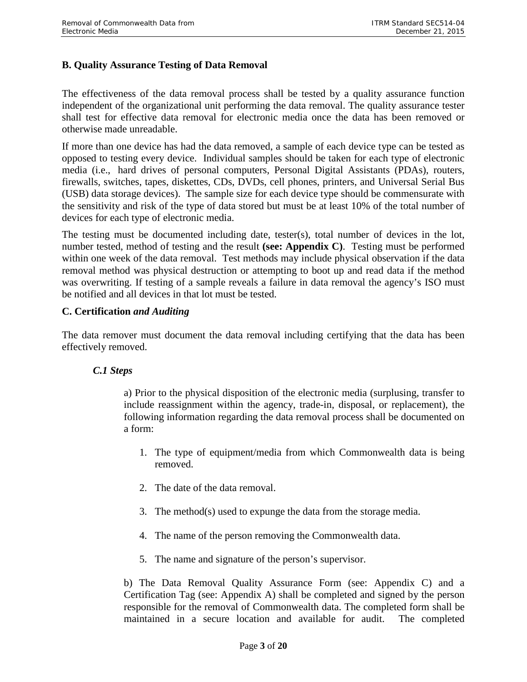### <span id="page-9-0"></span>**B. Quality Assurance Testing of Data Removal**

The effectiveness of the data removal process shall be tested by a quality assurance function independent of the organizational unit performing the data removal. The quality assurance tester shall test for effective data removal for electronic media once the data has been removed or otherwise made unreadable.

If more than one device has had the data removed, a sample of each device type can be tested as opposed to testing every device. Individual samples should be taken for each type of electronic media (i.e., hard drives of personal computers, Personal Digital Assistants (PDAs), routers, firewalls, switches, tapes, diskettes, CDs, DVDs, cell phones, printers, and Universal Serial Bus (USB) data storage devices). The sample size for each device type should be commensurate with the sensitivity and risk of the type of data stored but must be at least 10% of the total number of devices for each type of electronic media.

The testing must be documented including date, tester(s), total number of devices in the lot, number tested, method of testing and the result **(see: Appendix C)**. Testing must be performed within one week of the data removal. Test methods may include physical observation if the data removal method was physical destruction or attempting to boot up and read data if the method was overwriting. If testing of a sample reveals a failure in data removal the agency's ISO must be notified and all devices in that lot must be tested.

#### <span id="page-9-1"></span>**C. Certification** *and Auditing*

The data remover must document the data removal including certifying that the data has been effectively removed.

#### <span id="page-9-2"></span>*C.1 Steps*

a) Prior to the physical disposition of the electronic media (surplusing, transfer to include reassignment within the agency, trade-in, disposal, or replacement), the following information regarding the data removal process shall be documented on a form:

- 1. The type of equipment/media from which Commonwealth data is being removed.
- 2. The date of the data removal.
- 3. The method(s) used to expunge the data from the storage media.
- 4. The name of the person removing the Commonwealth data.
- 5. The name and signature of the person's supervisor.

b) The Data Removal Quality Assurance Form (see: Appendix C) and a Certification Tag (see: Appendix A) shall be completed and signed by the person responsible for the removal of Commonwealth data. The completed form shall be maintained in a secure location and available for audit. The completed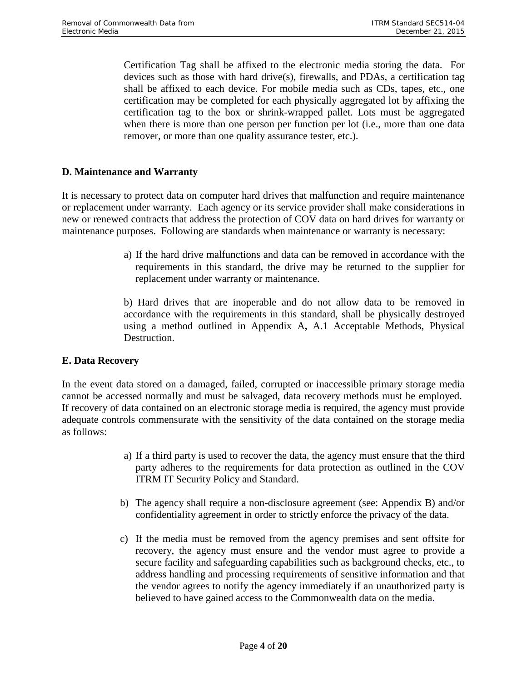Certification Tag shall be affixed to the electronic media storing the data. For devices such as those with hard drive(s), firewalls, and PDAs, a certification tag shall be affixed to each device. For mobile media such as CDs, tapes, etc., one certification may be completed for each physically aggregated lot by affixing the certification tag to the box or shrink-wrapped pallet. Lots must be aggregated when there is more than one person per function per lot (i.e., more than one data remover, or more than one quality assurance tester, etc.).

#### <span id="page-10-0"></span>**D. Maintenance and Warranty**

It is necessary to protect data on computer hard drives that malfunction and require maintenance or replacement under warranty. Each agency or its service provider shall make considerations in new or renewed contracts that address the protection of COV data on hard drives for warranty or maintenance purposes. Following are standards when maintenance or warranty is necessary:

> a) If the hard drive malfunctions and data can be removed in accordance with the requirements in this standard, the drive may be returned to the supplier for replacement under warranty or maintenance.

> b) Hard drives that are inoperable and do not allow data to be removed in accordance with the requirements in this standard, shall be physically destroyed using a method outlined in Appendix A**,** A.1 Acceptable Methods, Physical Destruction.

#### <span id="page-10-2"></span><span id="page-10-1"></span>**E. Data Recovery**

In the event data stored on a damaged, failed, corrupted or inaccessible primary storage media cannot be accessed normally and must be salvaged, data recovery methods must be employed. If recovery of data contained on an electronic storage media is required, the agency must provide adequate controls commensurate with the sensitivity of the data contained on the storage media as follows:

- a) If a third party is used to recover the data, the agency must ensure that the third party adheres to the requirements for data protection as outlined in the COV ITRM IT Security Policy and Standard.
- b) The agency shall require a non-disclosure agreement (see: Appendix B) and/or confidentiality agreement in order to strictly enforce the privacy of the data.
- c) If the media must be removed from the agency premises and sent offsite for recovery, the agency must ensure and the vendor must agree to provide a secure facility and safeguarding capabilities such as background checks, etc., to address handling and processing requirements of sensitive information and that the vendor agrees to notify the agency immediately if an unauthorized party is believed to have gained access to the Commonwealth data on the media.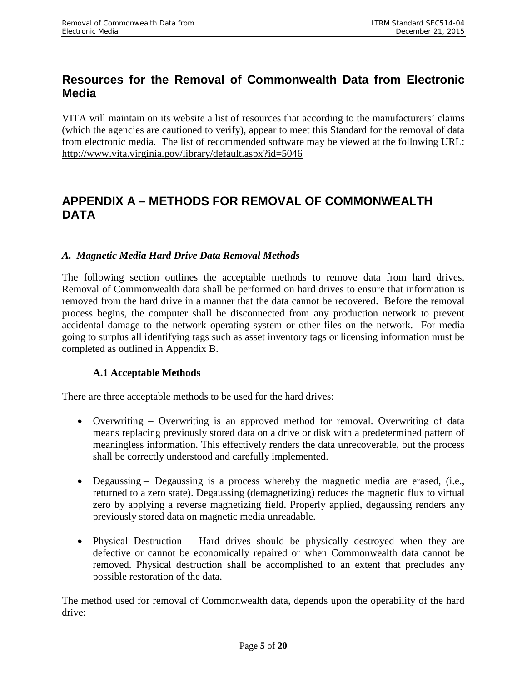# <span id="page-11-0"></span>**Resources for the Removal of Commonwealth Data from Electronic Media**

VITA will maintain on its website a list of resources that according to the manufacturers' claims (which the agencies are cautioned to verify), appear to meet this Standard for the removal of data from electronic media. The list of recommended software may be viewed at the following URL: <http://www.vita.virginia.gov/library/default.aspx?id=5046>

# <span id="page-11-1"></span>**APPENDIX A – METHODS FOR REMOVAL OF COMMONWEALTH DATA**

### <span id="page-11-2"></span>*A. Magnetic Media Hard Drive Data Removal Methods*

The following section outlines the acceptable methods to remove data from hard drives. Removal of Commonwealth data shall be performed on hard drives to ensure that information is removed from the hard drive in a manner that the data cannot be recovered. Before the removal process begins, the computer shall be disconnected from any production network to prevent accidental damage to the network operating system or other files on the network. For media going to surplus all identifying tags such as asset inventory tags or licensing information must be completed as outlined in Appendix B.

#### **A.1 Acceptable Methods**

<span id="page-11-3"></span>There are three acceptable methods to be used for the hard drives:

- Overwriting Overwriting is an approved method for removal. Overwriting of data means replacing previously stored data on a drive or disk with a predetermined pattern of meaningless information. This effectively renders the data unrecoverable, but the process shall be correctly understood and carefully implemented.
- Degaussing Degaussing is a process whereby the magnetic media are erased, (i.e., returned to a zero state). Degaussing (demagnetizing) reduces the magnetic flux to virtual zero by applying a reverse magnetizing field. Properly applied, degaussing renders any previously stored data on magnetic media unreadable.
- Physical Destruction Hard drives should be physically destroyed when they are defective or cannot be economically repaired or when Commonwealth data cannot be removed. Physical destruction shall be accomplished to an extent that precludes any possible restoration of the data.

The method used for removal of Commonwealth data, depends upon the operability of the hard drive: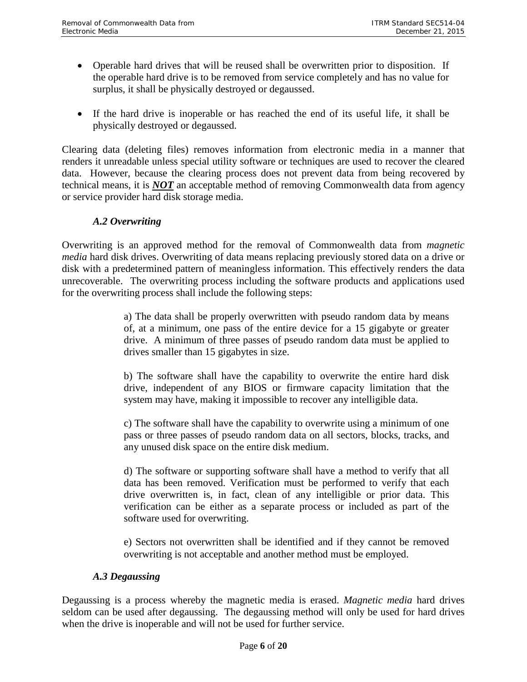- Operable hard drives that will be reused shall be overwritten prior to disposition. If the operable hard drive is to be removed from service completely and has no value for surplus, it shall be physically destroyed or degaussed.
- If the hard drive is inoperable or has reached the end of its useful life, it shall be physically destroyed or degaussed.

Clearing data (deleting files) removes information from electronic media in a manner that renders it unreadable unless special utility software or techniques are used to recover the cleared data. However, because the clearing process does not prevent data from being recovered by technical means, it is *NOT* an acceptable method of removing Commonwealth data from agency or service provider hard disk storage media.

## *A.2 Overwriting*

<span id="page-12-0"></span>Overwriting is an approved method for the removal of Commonwealth data from *magnetic media* hard disk drives. Overwriting of data means replacing previously stored data on a drive or disk with a predetermined pattern of meaningless information. This effectively renders the data unrecoverable. The overwriting process including the software products and applications used for the overwriting process shall include the following steps:

> a) The data shall be properly overwritten with pseudo random data by means of, at a minimum, one pass of the entire device for a 15 gigabyte or greater drive. A minimum of three passes of pseudo random data must be applied to drives smaller than 15 gigabytes in size.

> b) The software shall have the capability to overwrite the entire hard disk drive, independent of any BIOS or firmware capacity limitation that the system may have, making it impossible to recover any intelligible data.

> c) The software shall have the capability to overwrite using a minimum of one pass or three passes of pseudo random data on all sectors, blocks, tracks, and any unused disk space on the entire disk medium.

> d) The software or supporting software shall have a method to verify that all data has been removed. Verification must be performed to verify that each drive overwritten is, in fact, clean of any intelligible or prior data. This verification can be either as a separate process or included as part of the software used for overwriting.

> e) Sectors not overwritten shall be identified and if they cannot be removed overwriting is not acceptable and another method must be employed.

## *A.3 Degaussing*

<span id="page-12-1"></span>Degaussing is a process whereby the magnetic media is erased. *Magnetic media* hard drives seldom can be used after degaussing. The degaussing method will only be used for hard drives when the drive is inoperable and will not be used for further service.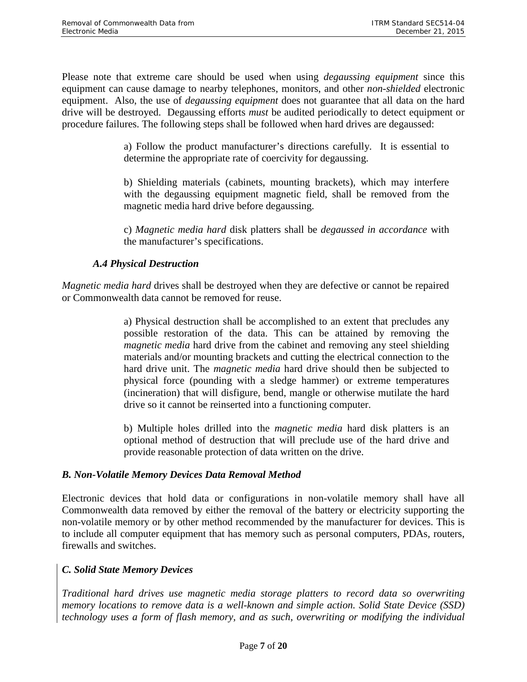Please note that extreme care should be used when using *degaussing equipment* since this equipment can cause damage to nearby telephones, monitors, and other *non-shielded* electronic equipment. Also, the use of *degaussing equipment* does not guarantee that all data on the hard drive will be destroyed. Degaussing efforts *must* be audited periodically to detect equipment or procedure failures. The following steps shall be followed when hard drives are degaussed:

> a) Follow the product manufacturer's directions carefully. It is essential to determine the appropriate rate of coercivity for degaussing.

> b) Shielding materials (cabinets, mounting brackets), which may interfere with the degaussing equipment magnetic field, shall be removed from the magnetic media hard drive before degaussing.

> c) *Magnetic media hard* disk platters shall be *degaussed in accordance* with the manufacturer's specifications.

## *A.4 Physical Destruction*

<span id="page-13-0"></span>*Magnetic media hard* drives shall be destroyed when they are defective or cannot be repaired or Commonwealth data cannot be removed for reuse.

> a) Physical destruction shall be accomplished to an extent that precludes any possible restoration of the data. This can be attained by removing the *magnetic media* hard drive from the cabinet and removing any steel shielding materials and/or mounting brackets and cutting the electrical connection to the hard drive unit. The *magnetic media* hard drive should then be subjected to physical force (pounding with a sledge hammer) or extreme temperatures (incineration) that will disfigure, bend, mangle or otherwise mutilate the hard drive so it cannot be reinserted into a functioning computer.

> b) Multiple holes drilled into the *magnetic media* hard disk platters is an optional method of destruction that will preclude use of the hard drive and provide reasonable protection of data written on the drive.

## <span id="page-13-1"></span>*B. Non-Volatile Memory Devices Data Removal Method*

Electronic devices that hold data or configurations in non-volatile memory shall have all Commonwealth data removed by either the removal of the battery or electricity supporting the non-volatile memory or by other method recommended by the manufacturer for devices. This is to include all computer equipment that has memory such as personal computers, PDAs, routers, firewalls and switches.

## <span id="page-13-2"></span>*C. Solid State Memory Devices*

*Traditional hard drives use magnetic media storage platters to record data so overwriting memory locations to remove data is a well-known and simple action. Solid State Device (SSD) technology uses a form of flash memory, and as such, overwriting or modifying the individual*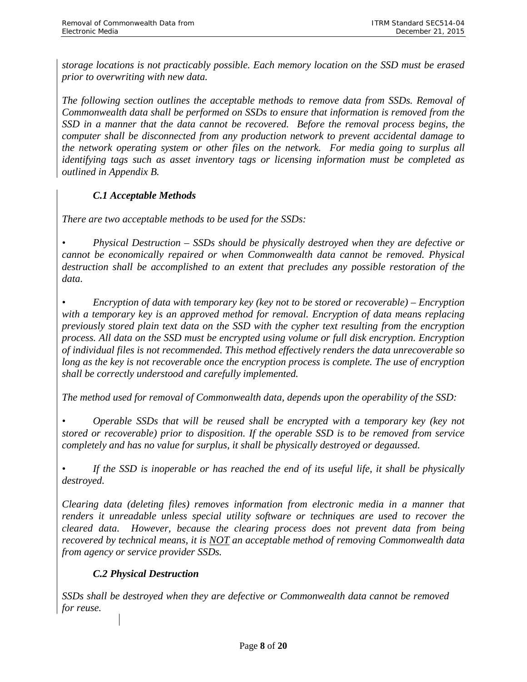*storage locations is not practicably possible. Each memory location on the SSD must be erased prior to overwriting with new data.* 

*The following section outlines the acceptable methods to remove data from SSDs. Removal of Commonwealth data shall be performed on SSDs to ensure that information is removed from the SSD in a manner that the data cannot be recovered. Before the removal process begins, the computer shall be disconnected from any production network to prevent accidental damage to the network operating system or other files on the network. For media going to surplus all identifying tags such as asset inventory tags or licensing information must be completed as outlined in Appendix B.* 

# *C.1 Acceptable Methods*

<span id="page-14-0"></span>*There are two acceptable methods to be used for the SSDs:* 

*• Physical Destruction – SSDs should be physically destroyed when they are defective or cannot be economically repaired or when Commonwealth data cannot be removed. Physical destruction shall be accomplished to an extent that precludes any possible restoration of the data.*

*• Encryption of data with temporary key (key not to be stored or recoverable) – Encryption with a temporary key is an approved method for removal. Encryption of data means replacing previously stored plain text data on the SSD with the cypher text resulting from the encryption process. All data on the SSD must be encrypted using volume or full disk encryption. Encryption of individual files is not recommended. This method effectively renders the data unrecoverable so long as the key is not recoverable once the encryption process is complete. The use of encryption shall be correctly understood and carefully implemented.* 

*The method used for removal of Commonwealth data, depends upon the operability of the SSD:* 

*• Operable SSDs that will be reused shall be encrypted with a temporary key (key not stored or recoverable) prior to disposition. If the operable SSD is to be removed from service completely and has no value for surplus, it shall be physically destroyed or degaussed.*

*• If the SSD is inoperable or has reached the end of its useful life, it shall be physically destroyed.*

*Clearing data (deleting files) removes information from electronic media in a manner that renders it unreadable unless special utility software or techniques are used to recover the cleared data. However, because the clearing process does not prevent data from being recovered by technical means, it is NOT an acceptable method of removing Commonwealth data from agency or service provider SSDs.*

# *C.2 Physical Destruction*

<span id="page-14-1"></span>*SSDs shall be destroyed when they are defective or Commonwealth data cannot be removed for reuse.*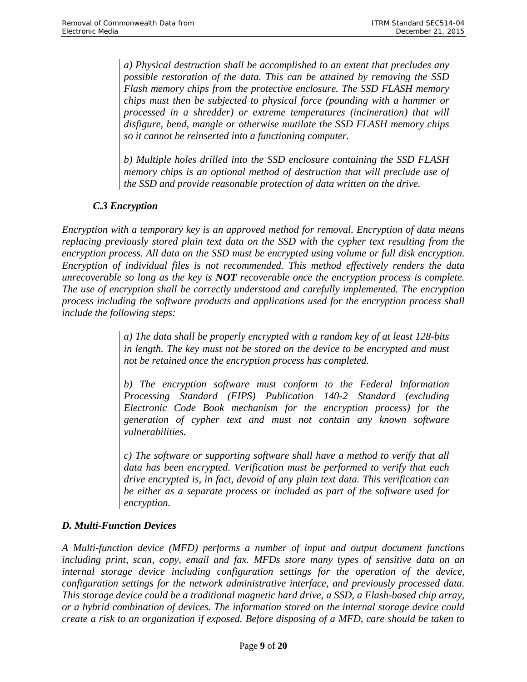*a) Physical destruction shall be accomplished to an extent that precludes any possible restoration of the data. This can be attained by removing the SSD Flash memory chips from the protective enclosure. The SSD FLASH memory chips must then be subjected to physical force (pounding with a hammer or processed in a shredder) or extreme temperatures (incineration) that will disfigure, bend, mangle or otherwise mutilate the SSD FLASH memory chips so it cannot be reinserted into a functioning computer.* 

*b) Multiple holes drilled into the SSD enclosure containing the SSD FLASH memory chips is an optional method of destruction that will preclude use of the SSD and provide reasonable protection of data written on the drive.*

# *C.3 Encryption*

<span id="page-15-0"></span>*Encryption with a temporary key is an approved method for removal. Encryption of data means replacing previously stored plain text data on the SSD with the cypher text resulting from the encryption process. All data on the SSD must be encrypted using volume or full disk encryption. Encryption of individual files is not recommended. This method effectively renders the data unrecoverable so long as the key is NOT recoverable once the encryption process is complete. The use of encryption shall be correctly understood and carefully implemented. The encryption process including the software products and applications used for the encryption process shall include the following steps:*

> *a) The data shall be properly encrypted with a random key of at least 128-bits in length. The key must not be stored on the device to be encrypted and must not be retained once the encryption process has completed.*

> *b) The encryption software must conform to the Federal Information Processing Standard (FIPS) Publication 140-2 Standard (excluding Electronic Code Book mechanism for the encryption process) for the generation of cypher text and must not contain any known software vulnerabilities.*

> *c) The software or supporting software shall have a method to verify that all data has been encrypted. Verification must be performed to verify that each drive encrypted is, in fact, devoid of any plain text data. This verification can be either as a separate process or included as part of the software used for encryption.*

# <span id="page-15-1"></span>*D. Multi-Function Devices*

*A Multi-function device (MFD) performs a number of input and output document functions including print, scan, copy, email and fax. MFDs store many types of sensitive data on an internal storage device including configuration settings for the operation of the device, configuration settings for the network administrative interface, and previously processed data. This storage device could be a traditional magnetic hard drive, a SSD, a Flash-based chip array, or a hybrid combination of devices. The information stored on the internal storage device could create a risk to an organization if exposed. Before disposing of a MFD, care should be taken to*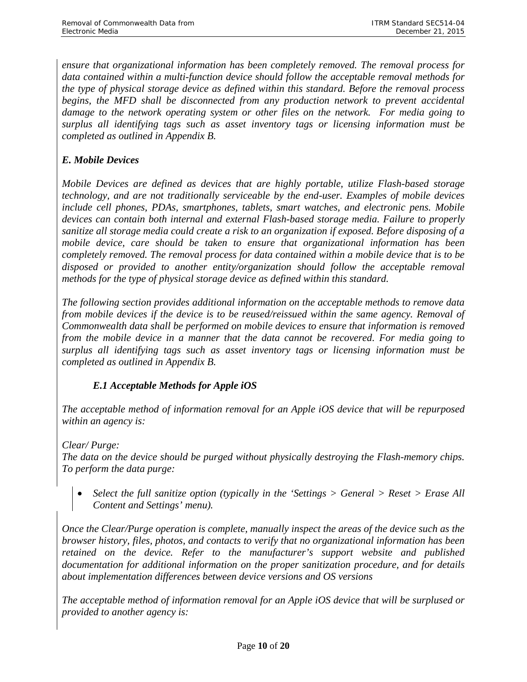*ensure that organizational information has been completely removed. The removal process for data contained within a multi-function device should follow the acceptable removal methods for the type of physical storage device as defined within this standard. Before the removal process begins, the MFD shall be disconnected from any production network to prevent accidental damage to the network operating system or other files on the network. For media going to surplus all identifying tags such as asset inventory tags or licensing information must be completed as outlined in Appendix B.* 

# <span id="page-16-0"></span>*E. Mobile Devices*

*Mobile Devices are defined as devices that are highly portable, utilize Flash-based storage technology, and are not traditionally serviceable by the end-user. Examples of mobile devices include cell phones, PDAs, smartphones, tablets, smart watches, and electronic pens. Mobile devices can contain both internal and external Flash-based storage media. Failure to properly sanitize all storage media could create a risk to an organization if exposed. Before disposing of a mobile device, care should be taken to ensure that organizational information has been completely removed. The removal process for data contained within a mobile device that is to be disposed or provided to another entity/organization should follow the acceptable removal methods for the type of physical storage device as defined within this standard.* 

*The following section provides additional information on the acceptable methods to remove data from mobile devices if the device is to be reused/reissued within the same agency. Removal of Commonwealth data shall be performed on mobile devices to ensure that information is removed from the mobile device in a manner that the data cannot be recovered. For media going to surplus all identifying tags such as asset inventory tags or licensing information must be completed as outlined in Appendix B.* 

## *E.1 Acceptable Methods for Apple iOS*

<span id="page-16-1"></span>*The acceptable method of information removal for an Apple iOS device that will be repurposed within an agency is:* 

*Clear/ Purge:*

*The data on the device should be purged without physically destroying the Flash-memory chips. To perform the data purge:*

• *Select the full sanitize option (typically in the 'Settings > General > Reset > Erase All Content and Settings' menu).* 

*Once the Clear/Purge operation is complete, manually inspect the areas of the device such as the browser history, files, photos, and contacts to verify that no organizational information has been retained on the device. Refer to the manufacturer's support website and published documentation for additional information on the proper sanitization procedure, and for details about implementation differences between device versions and OS versions*

*The acceptable method of information removal for an Apple iOS device that will be surplused or provided to another agency is:*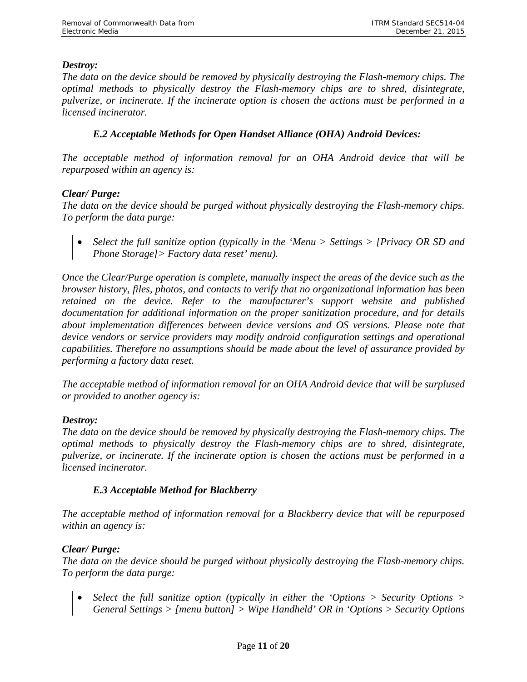## *Destroy:*

*The data on the device should be removed by physically destroying the Flash-memory chips. The optimal methods to physically destroy the Flash-memory chips are to shred, disintegrate, pulverize, or incinerate. If the incinerate option is chosen the actions must be performed in a licensed incinerator.*

## *E.2 Acceptable Methods for Open Handset Alliance (OHA) Android Devices:*

<span id="page-17-0"></span>*The acceptable method of information removal for an OHA Android device that will be repurposed within an agency is:* 

# *Clear/ Purge:*

*The data on the device should be purged without physically destroying the Flash-memory chips. To perform the data purge:*

• *Select the full sanitize option (typically in the 'Menu > Settings > [Privacy OR SD and Phone Storage]> Factory data reset' menu).*

*Once the Clear/Purge operation is complete, manually inspect the areas of the device such as the browser history, files, photos, and contacts to verify that no organizational information has been retained on the device. Refer to the manufacturer's support website and published documentation for additional information on the proper sanitization procedure, and for details about implementation differences between device versions and OS versions. Please note that device vendors or service providers may modify android configuration settings and operational capabilities. Therefore no assumptions should be made about the level of assurance provided by performing a factory data reset.* 

*The acceptable method of information removal for an OHA Android device that will be surplused or provided to another agency is:*

## *Destroy:*

*The data on the device should be removed by physically destroying the Flash-memory chips. The optimal methods to physically destroy the Flash-memory chips are to shred, disintegrate, pulverize, or incinerate. If the incinerate option is chosen the actions must be performed in a licensed incinerator.*

## *E.3 Acceptable Method for Blackberry*

<span id="page-17-1"></span>*The acceptable method of information removal for a Blackberry device that will be repurposed within an agency is:* 

## *Clear/ Purge:*

*The data on the device should be purged without physically destroying the Flash-memory chips. To perform the data purge:*

• *Select the full sanitize option (typically in either the 'Options > Security Options > General Settings > [menu button] > Wipe Handheld' OR in 'Options > Security Options*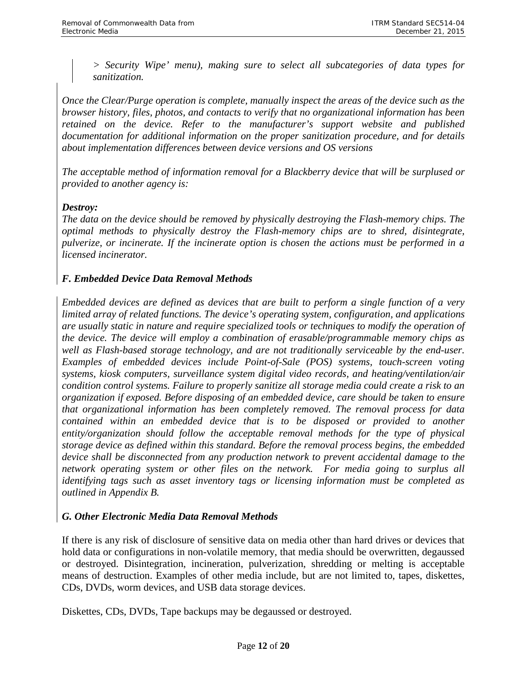*> Security Wipe' menu), making sure to select all subcategories of data types for sanitization.*

*Once the Clear/Purge operation is complete, manually inspect the areas of the device such as the browser history, files, photos, and contacts to verify that no organizational information has been retained on the device. Refer to the manufacturer's support website and published documentation for additional information on the proper sanitization procedure, and for details about implementation differences between device versions and OS versions*

*The acceptable method of information removal for a Blackberry device that will be surplused or provided to another agency is:*

### *Destroy:*

*The data on the device should be removed by physically destroying the Flash-memory chips. The optimal methods to physically destroy the Flash-memory chips are to shred, disintegrate, pulverize, or incinerate. If the incinerate option is chosen the actions must be performed in a licensed incinerator.*

### <span id="page-18-0"></span>*F. Embedded Device Data Removal Methods*

*Embedded devices are defined as devices that are built to perform a single function of a very limited array of related functions. The device's operating system, configuration, and applications are usually static in nature and require specialized tools or techniques to modify the operation of the device. The device will employ a combination of erasable/programmable memory chips as well as Flash-based storage technology, and are not traditionally serviceable by the end-user. Examples of embedded devices include Point-of-Sale (POS) systems, touch-screen voting systems, kiosk computers, surveillance system digital video records, and heating/ventilation/air condition control systems. Failure to properly sanitize all storage media could create a risk to an organization if exposed. Before disposing of an embedded device, care should be taken to ensure that organizational information has been completely removed. The removal process for data contained within an embedded device that is to be disposed or provided to another entity/organization should follow the acceptable removal methods for the type of physical storage device as defined within this standard. Before the removal process begins, the embedded device shall be disconnected from any production network to prevent accidental damage to the network operating system or other files on the network. For media going to surplus all identifying tags such as asset inventory tags or licensing information must be completed as outlined in Appendix B.* 

#### <span id="page-18-1"></span>*G. Other Electronic Media Data Removal Methods*

If there is any risk of disclosure of sensitive data on media other than hard drives or devices that hold data or configurations in non-volatile memory, that media should be overwritten, degaussed or destroyed. Disintegration, incineration, pulverization, shredding or melting is acceptable means of destruction. Examples of other media include, but are not limited to, tapes, diskettes, CDs, DVDs, worm devices, and USB data storage devices.

Diskettes, CDs, DVDs, Tape backups may be degaussed or destroyed.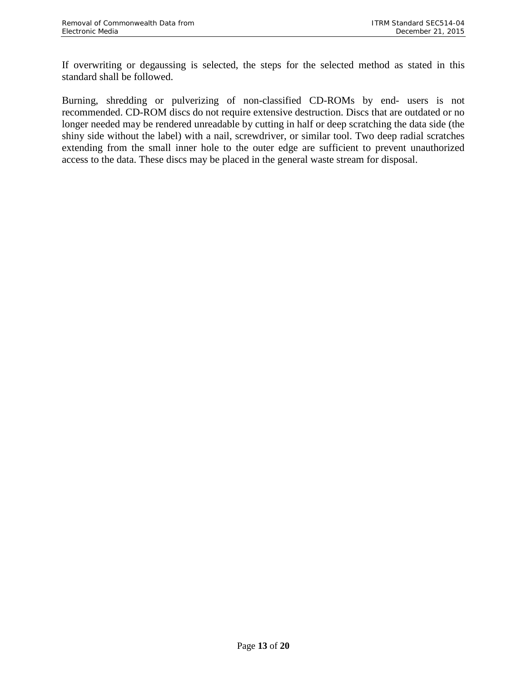If overwriting or degaussing is selected, the steps for the selected method as stated in this standard shall be followed.

Burning, shredding or pulverizing of non-classified CD-ROMs by end- users is not recommended. CD-ROM discs do not require extensive destruction. Discs that are outdated or no longer needed may be rendered unreadable by cutting in half or deep scratching the data side (the shiny side without the label) with a nail, screwdriver, or similar tool. Two deep radial scratches extending from the small inner hole to the outer edge are sufficient to prevent unauthorized access to the data. These discs may be placed in the general waste stream for disposal.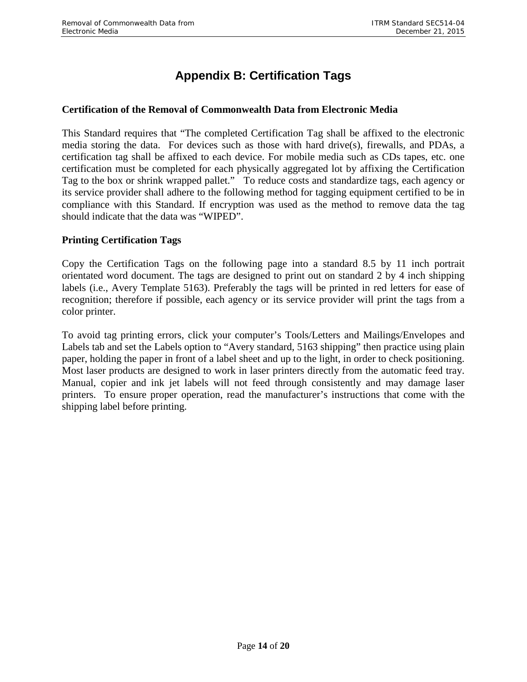# **Appendix B: Certification Tags**

#### <span id="page-20-0"></span>**Certification of the Removal of Commonwealth Data from Electronic Media**

This Standard requires that "The completed Certification Tag shall be affixed to the electronic media storing the data. For devices such as those with hard drive(s), firewalls, and PDAs, a certification tag shall be affixed to each device. For mobile media such as CDs tapes, etc. one certification must be completed for each physically aggregated lot by affixing the Certification Tag to the box or shrink wrapped pallet." To reduce costs and standardize tags, each agency or its service provider shall adhere to the following method for tagging equipment certified to be in compliance with this Standard. If encryption was used as the method to remove data the tag should indicate that the data was "WIPED".

#### **Printing Certification Tags**

Copy the Certification Tags on the following page into a standard 8.5 by 11 inch portrait orientated word document. The tags are designed to print out on standard 2 by 4 inch shipping labels (i.e., Avery Template 5163). Preferably the tags will be printed in red letters for ease of recognition; therefore if possible, each agency or its service provider will print the tags from a color printer.

To avoid tag printing errors, click your computer's Tools/Letters and Mailings/Envelopes and Labels tab and set the Labels option to "Avery standard, 5163 shipping" then practice using plain paper, holding the paper in front of a label sheet and up to the light, in order to check positioning. Most laser products are designed to work in laser printers directly from the automatic feed tray. Manual, copier and ink jet labels will not feed through consistently and may damage laser printers. To ensure proper operation, read the manufacturer's instructions that come with the shipping label before printing.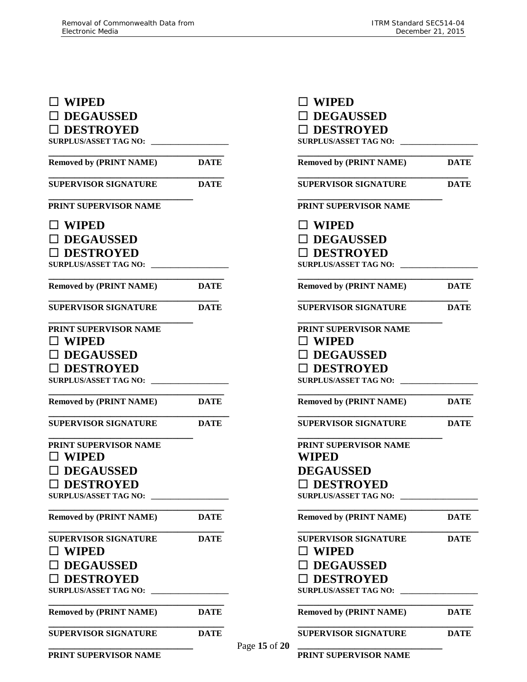# **WIPED DEGAUSSED DESTROYED SURPLUS/ASSET TAG NO: \_\_\_\_\_\_\_\_\_\_\_\_\_\_\_\_\_\_\_\_ \_\_\_\_\_\_\_\_\_\_\_\_\_\_\_\_\_\_\_\_\_\_\_\_\_\_\_\_\_\_\_\_\_\_ Removed by (PRINT NAME) DATE \_\_\_\_\_\_\_\_\_\_\_\_\_\_\_\_\_\_\_\_\_\_\_\_\_\_\_\_\_\_\_\_\_\_ SUPERVISOR SIGNATURE DATE \_\_\_\_\_\_\_\_\_\_\_\_\_\_\_\_\_\_\_\_\_\_\_\_\_\_\_\_ PRINT SUPERVISOR NAME WIPED DEGAUSSED DESTROYED** SURPLUS/ASSET TAG NO: \_ **Removed by (PRINT NAME) DATE \_\_\_\_\_\_\_\_\_\_\_\_\_\_\_\_\_\_\_\_\_\_\_\_\_\_\_\_\_\_\_\_\_ SUPERVISOR SIGNATURE DATE \_\_\_\_\_\_\_\_\_\_\_\_\_\_\_\_\_\_\_\_\_\_\_\_\_\_\_\_ PRINT SUPERVISOR NAME WIPED DEGAUSSED DESTROYED SURPLUS/ASSET TAG NO: \_\_\_\_\_\_\_\_\_\_\_\_\_\_\_\_\_\_\_\_ \_\_\_\_\_\_\_\_\_\_\_\_\_\_\_\_\_\_\_\_\_\_\_\_\_\_\_\_\_\_\_\_\_\_ Removed by (PRINT NAME) DATE \_\_\_\_\_\_\_\_\_\_\_\_\_\_\_\_\_\_\_\_\_\_\_\_\_\_\_\_\_\_\_\_\_\_\_ SUPERVISOR SIGNATURE DATE \_\_\_\_\_\_\_\_\_\_\_\_\_\_\_\_\_\_\_\_\_\_\_\_\_\_\_\_ PRINT SUPERVISOR NAME WIPED DEGAUSSED**  □ DESTROYED SURPLUS/ASSET TAG NO: **Removed by (PRINT NAME) DATE \_\_\_\_\_\_\_\_\_\_\_\_\_\_\_\_\_\_\_\_\_\_\_\_\_\_\_\_\_\_\_\_\_\_ SUPERVISOR SIGNATURE DATE** □ **DEGAUSSED WIPED DESTROYED SURPLUS/ASSET TAG NO: \_\_\_\_\_\_\_\_\_\_\_\_\_\_\_\_\_\_\_\_ \_\_\_\_\_\_\_\_\_\_\_\_\_\_\_\_\_\_\_\_\_\_\_\_\_\_\_\_\_\_\_\_\_\_ Removed by (PRINT NAME) DATE**

| $\Box$ WIPED<br>$\Box$ DEGAUSSED<br>$\Box$ DESTROYED<br><b>SURPLUS/ASSET TAG NO:</b> |             |
|--------------------------------------------------------------------------------------|-------------|
| <b>Removed by (PRINT NAME)</b>                                                       | <b>DATE</b> |
| <b>SUPERVISOR SIGNATURE</b>                                                          | DATE        |
| PRINT SUPERVISOR NAME                                                                |             |
| $\Box$ WIPED                                                                         |             |
| $\Box$ DEGAUSSED                                                                     |             |
| $\Box$ DESTROYED                                                                     |             |
| <b>SURPLUS/ASSET TAG NO:</b>                                                         |             |
| <b>Removed by (PRINT NAME)</b>                                                       | <b>DATE</b> |
| <b>SUPERVISOR SIGNATURE</b>                                                          | <b>DATE</b> |
| PRINT SUPERVISOR NAME                                                                |             |
| $\Box$ WIPED                                                                         |             |
| $\Box$ DEGAUSSED                                                                     |             |
| $\Box$ DESTROYED                                                                     |             |
| <b>SURPLUS/ASSET TAG NO:</b>                                                         |             |
| <b>Removed by (PRINT NAME)</b>                                                       | DATE        |
| <b>SUPERVISOR SIGNATURE</b>                                                          | <b>DATE</b> |
| <b>PRINT SUPERVISOR NAME</b><br>WIPED                                                |             |
| <b>DEGAUSSED</b>                                                                     |             |
| $\Box$ DESTROYED                                                                     |             |
| <b>SURPLUS/ASSET TAG NO:</b>                                                         |             |
| <b>Removed by (PRINT NAME)</b>                                                       | <b>DATE</b> |
| <b>SUPERVISOR SIGNATURE</b>                                                          | <b>DATE</b> |
| $\Box$ wiped                                                                         |             |
| $\Box$ DEGAUSSED                                                                     |             |
| $\Box$ DESTROYED                                                                     |             |
| <b>SURPLUS/ASSET TAG NO:</b>                                                         |             |
| <b>Removed by (PRINT NAME)</b>                                                       | <b>DATE</b> |
| SUPERVISOR SIGNATURE                                                                 | <b>DATE</b> |
| PRINT SUPERVISOR NAME                                                                |             |

**\_\_\_\_\_\_\_\_\_\_\_\_\_\_\_\_\_\_\_\_\_\_\_\_\_\_\_\_ PRINT SUPERVISOR NAME**

**\_\_\_\_\_\_\_\_\_\_\_\_\_\_\_\_\_\_\_\_\_\_\_\_\_\_\_\_\_\_\_\_\_\_ SUPERVISOR SIGNATURE DATE**

Page **15** of **20**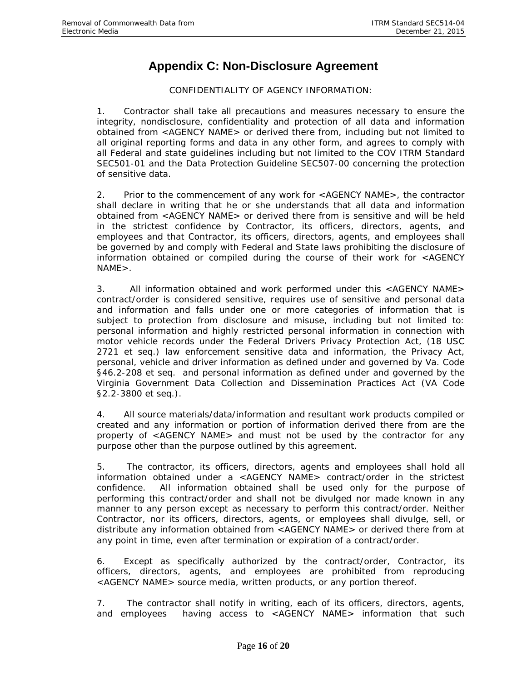# **Appendix C: Non-Disclosure Agreement**

CONFIDENTIALITY OF AGENCY INFORMATION:

<span id="page-22-0"></span>1. Contractor shall take all precautions and measures necessary to ensure the integrity, nondisclosure, confidentiality and protection of all data and information obtained from <AGENCY NAME> or derived there from, including but not limited to all original reporting forms and data in any other form, and agrees to comply with all Federal and state guidelines including but not limited to the COV ITRM Standard SEC501-01 and the Data Protection Guideline SEC507-00 concerning the protection of sensitive data.

2. Prior to the commencement of any work for <AGENCY NAME>, the contractor shall declare in writing that he or she understands that all data and information obtained from <AGENCY NAME> or derived there from is sensitive and will be held in the strictest confidence by Contractor, its officers, directors, agents, and employees and that Contractor, its officers, directors, agents, and employees shall be governed by and comply with Federal and State laws prohibiting the disclosure of information obtained or compiled during the course of their work for <AGENCY NAME>.

3. All information obtained and work performed under this <AGENCY NAME> contract/order is considered sensitive, requires use of sensitive and personal data and information and falls under one or more categories of information that is subject to protection from disclosure and misuse, including but not limited to: personal information and highly restricted personal information in connection with motor vehicle records under the Federal Drivers Privacy Protection Act, (18 USC 2721 et seq.) law enforcement sensitive data and information, the Privacy Act, personal, vehicle and driver information as defined under and governed by Va. Code §46.2-208 et seq. and personal information as defined under and governed by the Virginia Government Data Collection and Dissemination Practices Act (VA Code §2.2-3800 et seq.).

4. All source materials/data/information and resultant work products compiled or created and any information or portion of information derived there from are the property of <AGENCY NAME> and must not be used by the contractor for any purpose other than the purpose outlined by this agreement.

5. The contractor, its officers, directors, agents and employees shall hold all information obtained under a <AGENCY NAME> contract/order in the strictest confidence. All information obtained shall be used only for the purpose of performing this contract/order and shall not be divulged nor made known in any manner to any person except as necessary to perform this contract/order. Neither Contractor, nor its officers, directors, agents, or employees shall divulge, sell, or distribute any information obtained from <AGENCY NAME> or derived there from at any point in time, even after termination or expiration of a contract/order.

6. Except as specifically authorized by the contract/order, Contractor, its officers, directors, agents, and employees are prohibited from reproducing <AGENCY NAME> source media, written products, or any portion thereof.

7. The contractor shall notify in writing, each of its officers, directors, agents, and employees having access to <AGENCY NAME> information that such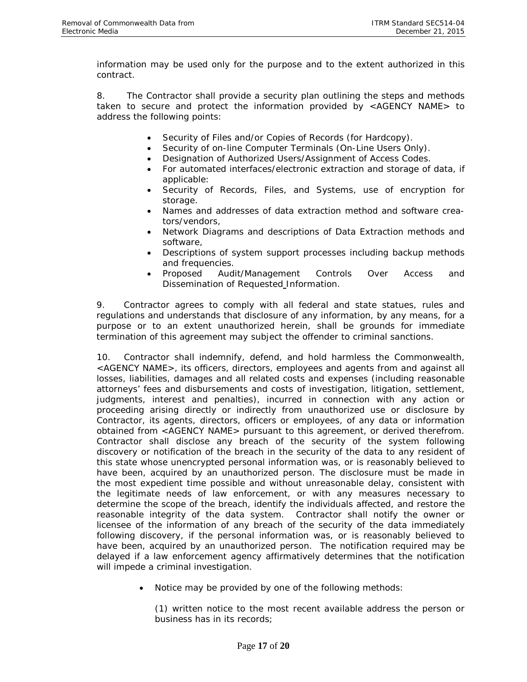information may be used only for the purpose and to the extent authorized in this contract.

8. The Contractor shall provide a security plan outlining the steps and methods taken to secure and protect the information provided by <AGENCY NAME> to address the following points:

- Security of Files and/or Copies of Records (for Hardcopy).
- Security of on-line Computer Terminals (On-Line Users Only).
- Designation of Authorized Users/Assignment of Access Codes.
- For automated interfaces/electronic extraction and storage of data, if applicable:
- Security of Records, Files, and Systems, use of encryption for storage.
- Names and addresses of data extraction method and software creators/vendors,
- Network Diagrams and descriptions of Data Extraction methods and software,
- Descriptions of system support processes including backup methods and frequencies.
- Proposed Audit/Management Controls Over Access and Dissemination of Requested Information.

9. Contractor agrees to comply with all federal and state statues, rules and regulations and understands that disclosure of any information, by any means, for a purpose or to an extent unauthorized herein, shall be grounds for immediate termination of this agreement may subject the offender to criminal sanctions.

10. Contractor shall indemnify, defend, and hold harmless the Commonwealth, <AGENCY NAME>, its officers, directors, employees and agents from and against all losses, liabilities, damages and all related costs and expenses (including reasonable attorneys' fees and disbursements and costs of investigation, litigation, settlement, judgments, interest and penalties), incurred in connection with any action or proceeding arising directly or indirectly from unauthorized use or disclosure by Contractor, its agents, directors, officers or employees, of any data or information obtained from <AGENCY NAME> pursuant to this agreement, or derived therefrom. Contractor shall disclose any breach of the security of the system following discovery or notification of the breach in the security of the data to any resident of this state whose unencrypted personal information was, or is reasonably believed to have been, acquired by an unauthorized person. The disclosure must be made in the most expedient time possible and without unreasonable delay, consistent with the legitimate needs of law enforcement, or with any measures necessary to determine the scope of the breach, identify the individuals affected, and restore the reasonable integrity of the data system. Contractor shall notify the owner or licensee of the information of any breach of the security of the data immediately following discovery, if the personal information was, or is reasonably believed to have been, acquired by an unauthorized person. The notification required may be delayed if a law enforcement agency affirmatively determines that the notification will impede a criminal investigation.

Notice may be provided by one of the following methods:

(1) written notice to the most recent available address the person or business has in its records;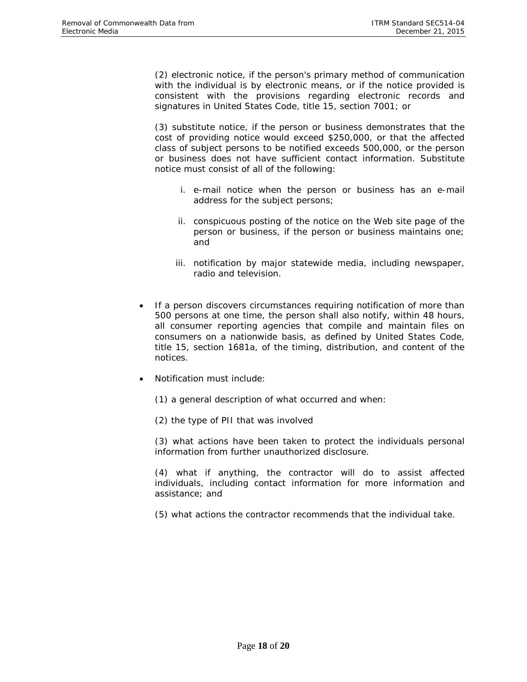(2) electronic notice, if the person's primary method of communication with the individual is by electronic means, or if the notice provided is consistent with the provisions regarding electronic records and signatures in United States Code, title 15, section 7001; or

(3) substitute notice, if the person or business demonstrates that the cost of providing notice would exceed \$250,000, or that the affected class of subject persons to be notified exceeds 500,000, or the person or business does not have sufficient contact information. Substitute notice must consist of all of the following:

- i. e-mail notice when the person or business has an e-mail address for the subject persons;
- ii. conspicuous posting of the notice on the Web site page of the person or business, if the person or business maintains one; and
- iii. notification by major statewide media, including newspaper, radio and television.
- If a person discovers circumstances requiring notification of more than 500 persons at one time, the person shall also notify, within 48 hours, all consumer reporting agencies that compile and maintain files on consumers on a nationwide basis, as defined by United States Code, title 15, section 1681a, of the timing, distribution, and content of the notices.
- Notification must include:
	- (1) a general description of what occurred and when:
	- (2) the type of PII that was involved

(3) what actions have been taken to protect the individuals personal information from further unauthorized disclosure.

(4) what if anything, the contractor will do to assist affected individuals, including contact information for more information and assistance; and

(5) what actions the contractor recommends that the individual take.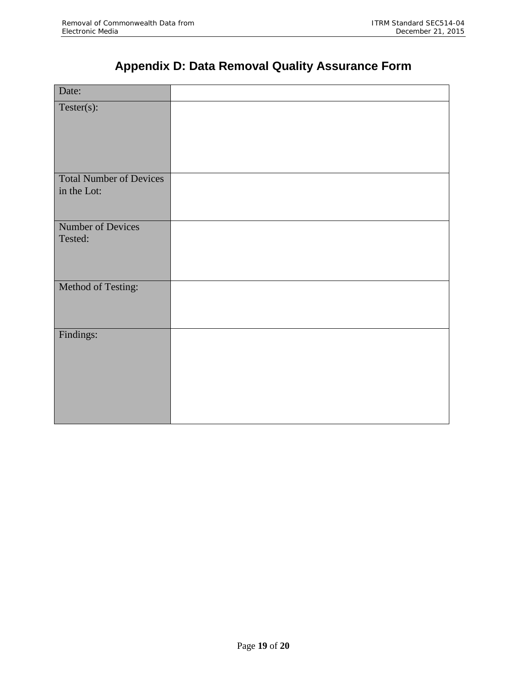# **Appendix D: Data Removal Quality Assurance Form**

<span id="page-25-0"></span>

| Date:                          |  |
|--------------------------------|--|
| $Tester(s)$ :<br>ı             |  |
|                                |  |
|                                |  |
|                                |  |
|                                |  |
| <b>Total Number of Devices</b> |  |
| in the Lot:                    |  |
|                                |  |
| Number of Devices              |  |
| Tested:                        |  |
|                                |  |
|                                |  |
| Method of Testing:             |  |
|                                |  |
|                                |  |
| Findings:                      |  |
|                                |  |
|                                |  |
|                                |  |
|                                |  |
|                                |  |
|                                |  |